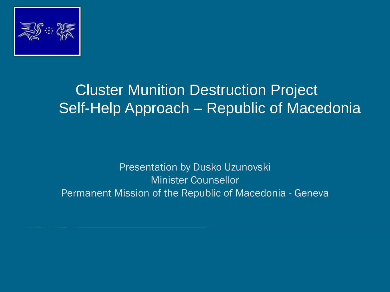

### Cluster Munition Destruction Project Self-Help Approach – Republic of Macedonia

Presentation by Dusko Uzunovski Minister Counsellor Permanent Mission of the Republic of Macedonia - Geneva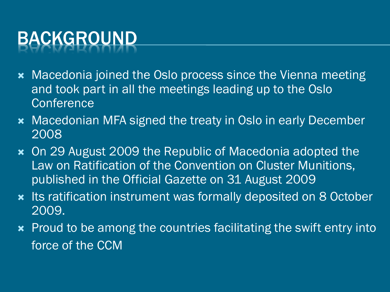# BACKGROUND

- **\*** Macedonia joined the Oslo process since the Vienna meeting and took part in all the meetings leading up to the Oslo **Conference**
- **\*** Macedonian MFA signed the treaty in Oslo in early December 2008
- On 29 August 2009 the Republic of Macedonia adopted the Law on Ratification of the Convention on Cluster Munitions, published in the Official Gazette on 31 August 2009
- **\*** Its ratification instrument was formally deposited on 8 October 2009.
- **\*** Proud to be among the countries facilitating the swift entry into force of the CCM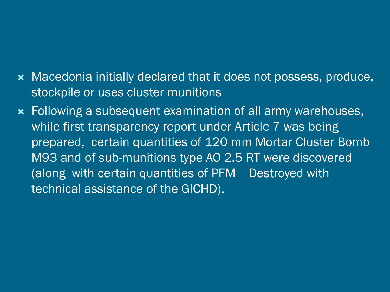- Macedonia initially declared that it does not possess, produce, stockpile or uses cluster munitions
- Following a subsequent examination of all army warehouses, while first transparency report under Article 7 was being prepared, certain quantities of 120 mm Mortar Cluster Bomb M93 and of sub-munitions type AO 2.5 RT were discovered (along with certain quantities of PFM - Destroyed with technical assistance of the GICHD).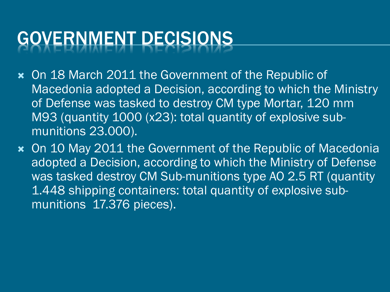## GOVERNMENT DECISIONS

- On 18 March 2011 the Government of the Republic of Macedonia adopted a Decision, according to which the Ministry of Defense was tasked to destroy CM type Mortar, 120 mm M93 (quantity 1000 (x23): total quantity of explosive submunitions 23.000).
- On 10 May 2011 the Government of the Republic of Macedonia adopted a Decision, according to which the Ministry of Defense was tasked destroy CM Sub-munitions type AO 2.5 RT (quantity 1.448 shipping containers: total quantity of explosive submunitions 17.376 pieces).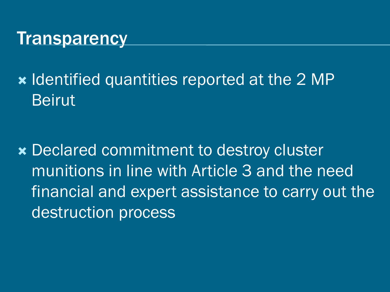#### **Transparency**

**\* Identified quantities reported at the 2 MP** Beirut

 Declared commitment to destroy cluster munitions in line with Article 3 and the need financial and expert assistance to carry out the destruction process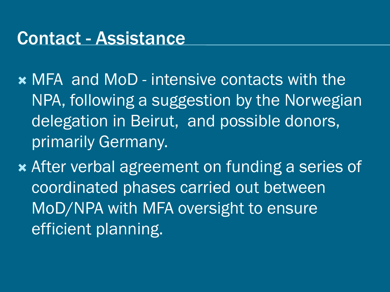#### Contact - Assistance

- MFA and MoD intensive contacts with the NPA, following a suggestion by the Norwegian delegation in Beirut, and possible donors, primarily Germany.
- After verbal agreement on funding a series of coordinated phases carried out between MoD/NPA with MFA oversight to ensure efficient planning.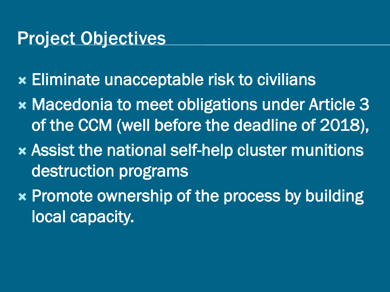#### Project Objectives

- Eliminate unacceptable risk to civilians
- **x Macedonia to meet obligations under Article 3** of the CCM (well before the deadline of 2018),
- Assist the national self-help cluster munitions destruction programs
- Promote ownership of the process by building local capacity.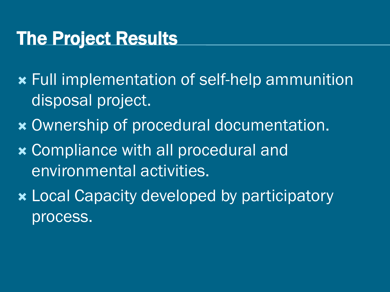### The Project Results

- Full implementation of self-help ammunition disposal project.
- Ownership of procedural documentation.
- **x** Compliance with all procedural and environmental activities.
- Local Capacity developed by participatory process.